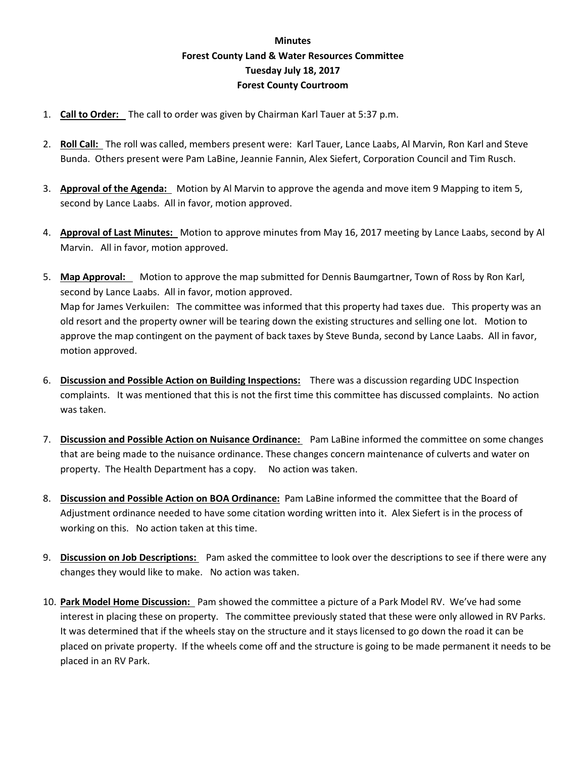## **Minutes Forest County Land & Water Resources Committee Tuesday July 18, 2017 Forest County Courtroom**

- 1. **Call to Order:** The call to order was given by Chairman Karl Tauer at 5:37 p.m.
- 2. **Roll Call:** The roll was called, members present were: Karl Tauer, Lance Laabs, Al Marvin, Ron Karl and Steve Bunda. Others present were Pam LaBine, Jeannie Fannin, Alex Siefert, Corporation Council and Tim Rusch.
- 3. **Approval of the Agenda:** Motion by Al Marvin to approve the agenda and move item 9 Mapping to item 5, second by Lance Laabs. All in favor, motion approved.
- 4. **Approval of Last Minutes:** Motion to approve minutes from May 16, 2017 meeting by Lance Laabs, second by Al Marvin. All in favor, motion approved.
- 5. **Map Approval:** Motion to approve the map submitted for Dennis Baumgartner, Town of Ross by Ron Karl, second by Lance Laabs. All in favor, motion approved. Map for James Verkuilen: The committee was informed that this property had taxes due. This property was an old resort and the property owner will be tearing down the existing structures and selling one lot. Motion to approve the map contingent on the payment of back taxes by Steve Bunda, second by Lance Laabs. All in favor, motion approved.
- 6. **Discussion and Possible Action on Building Inspections:** There was a discussion regarding UDC Inspection complaints. It was mentioned that this is not the first time this committee has discussed complaints. No action was taken.
- 7. **Discussion and Possible Action on Nuisance Ordinance:** Pam LaBine informed the committee on some changes that are being made to the nuisance ordinance. These changes concern maintenance of culverts and water on property. The Health Department has a copy. No action was taken.
- 8. **Discussion and Possible Action on BOA Ordinance:** Pam LaBine informed the committee that the Board of Adjustment ordinance needed to have some citation wording written into it. Alex Siefert is in the process of working on this. No action taken at this time.
- 9. **Discussion on Job Descriptions:** Pam asked the committee to look over the descriptions to see if there were any changes they would like to make. No action was taken.
- 10. **Park Model Home Discussion:** Pam showed the committee a picture of a Park Model RV. We've had some interest in placing these on property. The committee previously stated that these were only allowed in RV Parks. It was determined that if the wheels stay on the structure and it stays licensed to go down the road it can be placed on private property. If the wheels come off and the structure is going to be made permanent it needs to be placed in an RV Park.